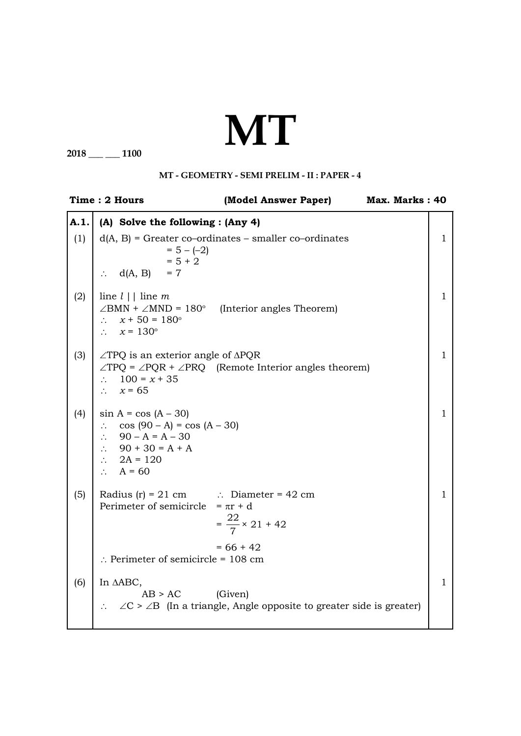## **MT**

**2018 \_\_\_ \_\_\_ 1100**

## **MT - Geometry - SEMI PRELIM - II : PAPER - 4**

| Time: 2 Hours |                                                                                                                                                                                      | (Model Answer Paper)<br>Max. Marks: 40                                                        |  |              |
|---------------|--------------------------------------------------------------------------------------------------------------------------------------------------------------------------------------|-----------------------------------------------------------------------------------------------|--|--------------|
| A.1.          | (A) Solve the following : (Any 4)                                                                                                                                                    |                                                                                               |  |              |
| (1)           | $= 5 - (-2)$<br>$= 5 + 2$<br>$\therefore$ d(A, B) = 7                                                                                                                                | $d(A, B)$ = Greater co-ordinates – smaller co-ordinates                                       |  | $\mathbf{1}$ |
| (2)           | line $l \mid$ line m<br>$\angle$ BMN + $\angle$ MND = 180° (Interior angles Theorem)<br>$\therefore$ $x + 50 = 180^{\circ}$<br>$\therefore$ $x = 130^{\circ}$                        |                                                                                               |  | $\mathbf{1}$ |
| (3)           | $\angle$ TPQ is an exterior angle of $\triangle$ PQR<br>$\therefore$ 100 = x + 35<br>$\therefore$ $x = 65$                                                                           | $\angle TPQ = \angle PQR + \angle PRQ$ (Remote Interior angles theorem)                       |  | $\mathbf{1}$ |
| (4)           | $\sin A = \cos (A - 30)$<br>$\therefore$ cos (90 – A) = cos (A – 30)<br>$\therefore$ 90 – A = A – 30<br>$\therefore$ 90 + 30 = A + A<br>$\therefore$ 2A = 120<br>$\therefore$ A = 60 |                                                                                               |  | 1            |
| (5)           | Radius (r) = 21 cm $\therefore$ Diameter = 42 cm<br>Perimeter of semicircle = $\pi r + d$                                                                                            | $=\frac{22}{7} \times 21 + 42$                                                                |  | $\mathbf{1}$ |
|               | $\therefore$ Perimeter of semicircle = 108 cm                                                                                                                                        | $= 66 + 42$                                                                                   |  |              |
| (6)           | In AABC,<br>$AB > AC$ (Given)                                                                                                                                                        | $\therefore$ $\angle C > \angle B$ (In a triangle, Angle opposite to greater side is greater) |  | $\mathbf{1}$ |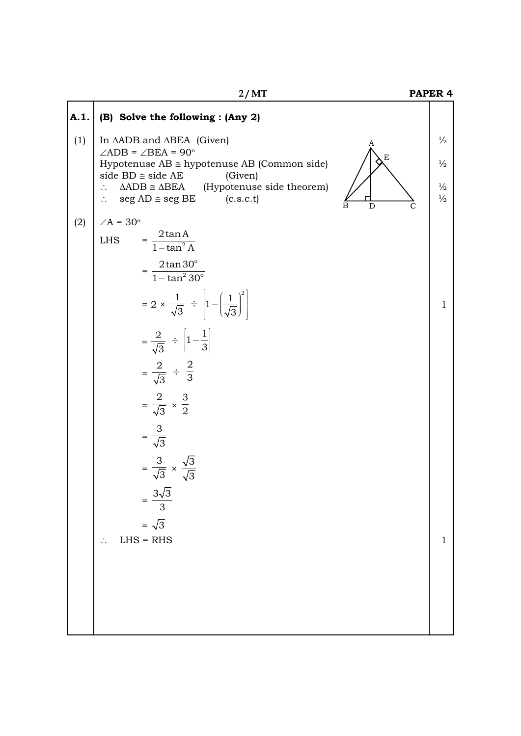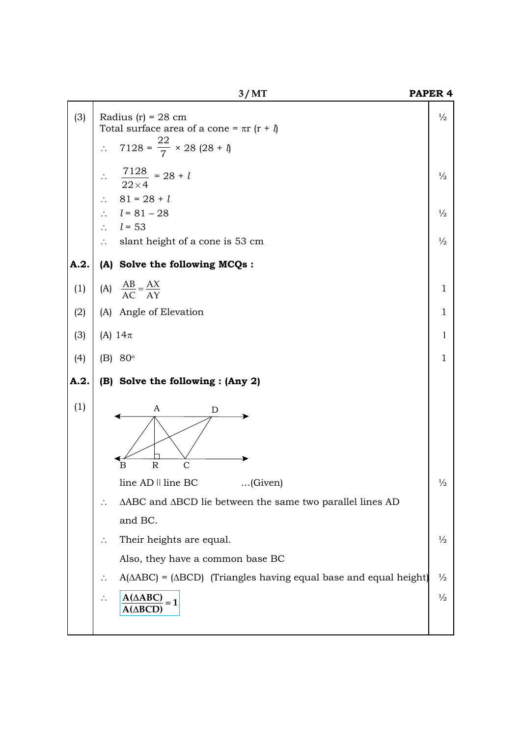|      | $\mathcal{O}$ and $\mathcal{O}$                                                     |               |
|------|-------------------------------------------------------------------------------------|---------------|
| (3)  | Radius $(r) = 28$ cm<br>Total surface area of a cone = $\pi r$ ( $r + \theta$ )     | $\frac{1}{2}$ |
|      | $7128 = \frac{22}{7} \times 28 (28 + 1)$<br>$\therefore$                            |               |
|      | $rac{7128}{22\times4}$ = 28 + 1                                                     | $\frac{1}{2}$ |
|      | $81 = 28 + l$<br>$\therefore$                                                       |               |
|      | $\therefore$ $l = 81 - 28$                                                          | $\frac{1}{2}$ |
|      | $\therefore$ $l = 53$                                                               |               |
|      | slant height of a cone is 53 cm<br>$\mathcal{L}_{\mathcal{L}}$                      | $\frac{1}{2}$ |
| A.2. | (A) Solve the following MCQs:                                                       |               |
| (1)  | (A) $\frac{AB}{AC} = \frac{AX}{AY}$                                                 | $\mathbf{1}$  |
| (2)  | (A) Angle of Elevation                                                              | $\mathbf{1}$  |
| (3)  | (A) $14\pi$                                                                         | 1             |
| (4)  | (B) $80^{\circ}$                                                                    | $\mathbf{1}$  |
| A.2. | (B) Solve the following : (Any 2)                                                   |               |
| (1)  | A<br>D                                                                              |               |
|      | $\overline{\mathrm{R}}$<br>$\mathsf{C}$<br>B                                        |               |
|      | line AD    line BC<br>…(Given)                                                      | $\frac{1}{2}$ |
|      | ΔABC and ΔBCD lie between the same two parallel lines AD                            |               |
|      | and BC.                                                                             |               |
|      | Their heights are equal.                                                            | $\frac{1}{2}$ |
|      | Also, they have a common base BC                                                    |               |
|      | $A(\triangle ABC) = (\triangle BCD)$ (Triangles having equal base and equal height) | $\frac{1}{2}$ |
|      | $A(\triangle ABC)$<br>$=1$<br>$A(\Delta BCD)$                                       | $\frac{1}{2}$ |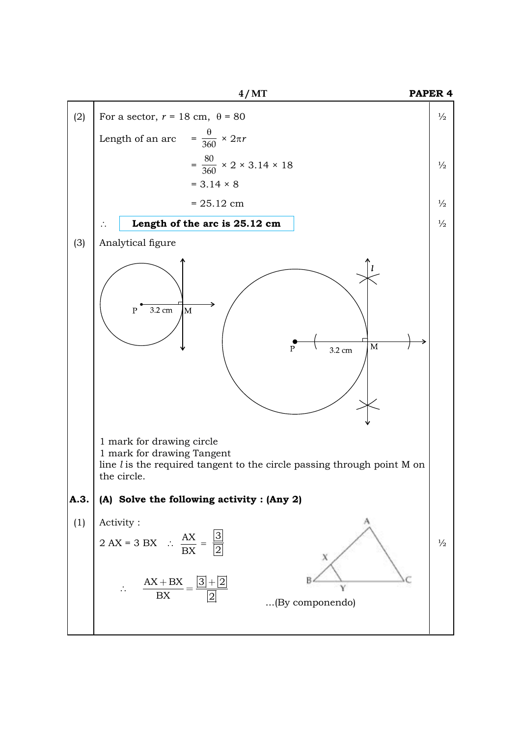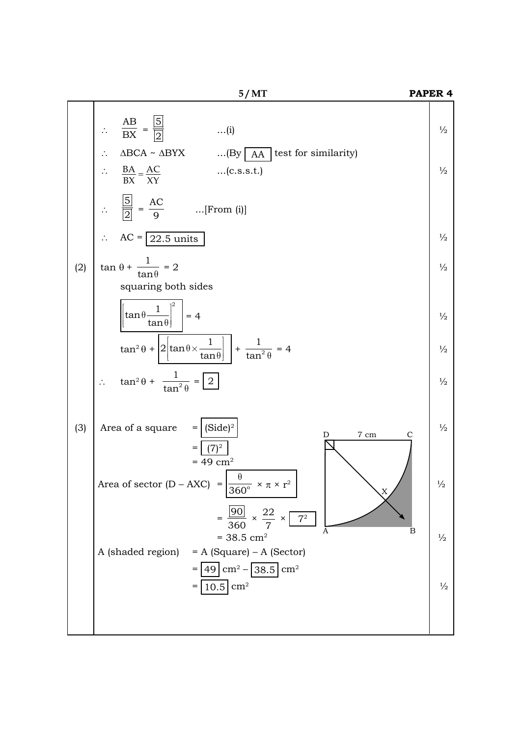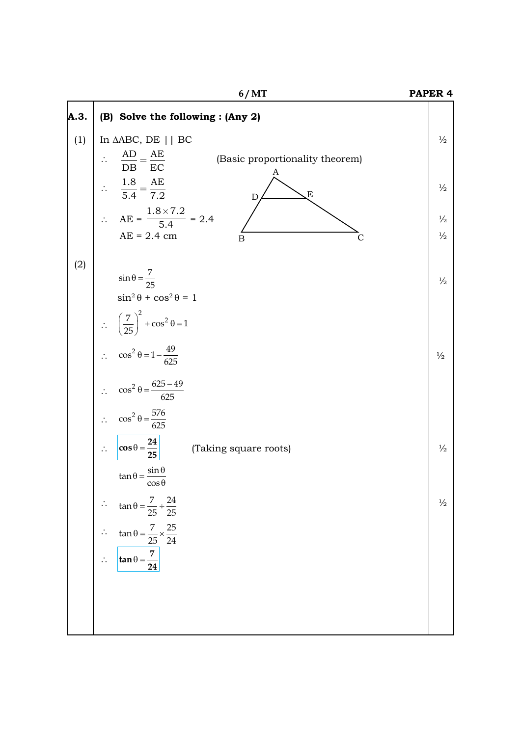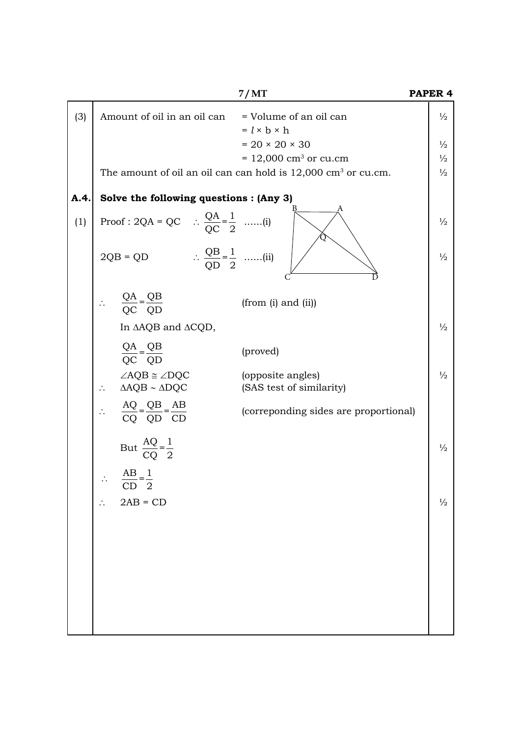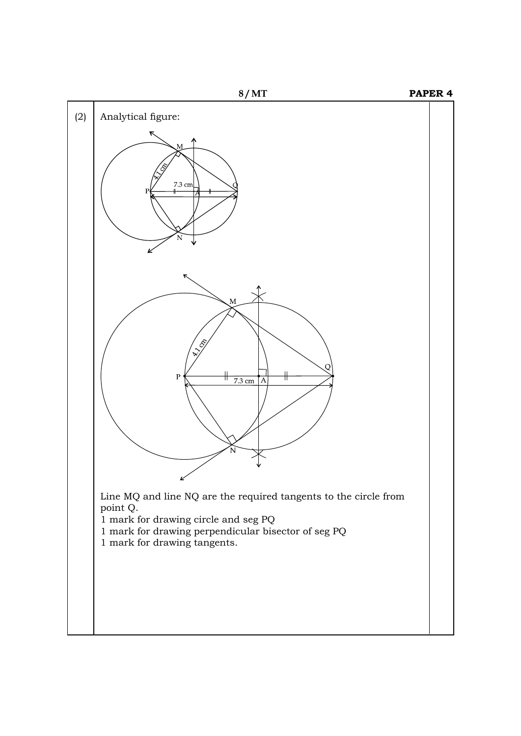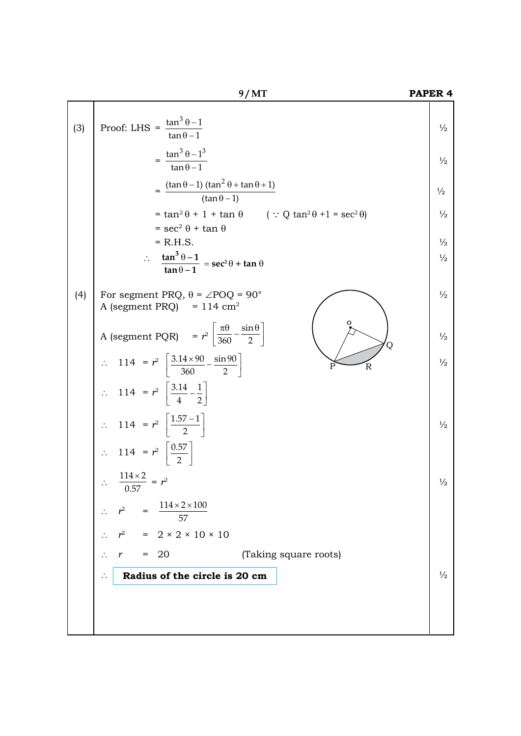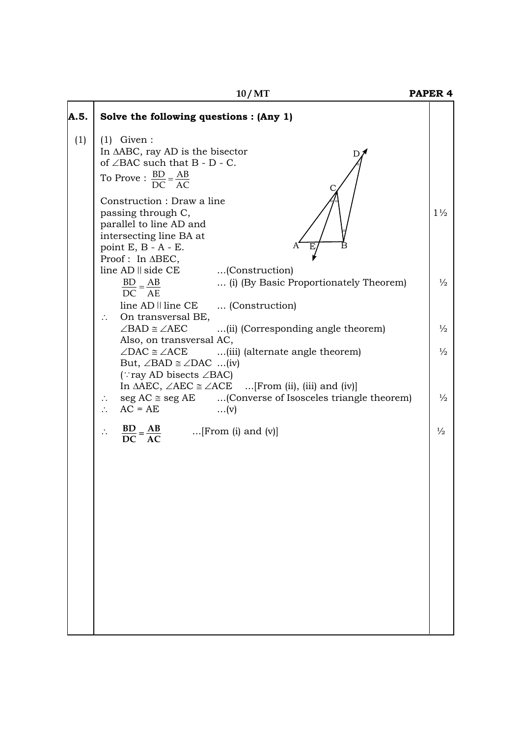**10/MT PAPER 4** 

| A.5. | Solve the following questions : (Any 1)                                                                                                                                                                                       |                |
|------|-------------------------------------------------------------------------------------------------------------------------------------------------------------------------------------------------------------------------------|----------------|
| (1)  | $(1)$ Given:<br>In $\triangle$ ABC, ray AD is the bisector<br>of $\angle$ BAC such that B - D - C.<br>To Prove : $\frac{BD}{DC} = \frac{AB}{AC}$                                                                              |                |
|      | Construction : Draw a line<br>passing through C,<br>parallel to line AD and<br>intersecting line BA at<br>point $E$ , $B - A - E$ .<br>Proof: In ABEC,                                                                        | $1\frac{1}{2}$ |
|      | $line AD \parallel side CE$<br>(Construction)<br>$\frac{BD}{DC} = \frac{AB}{AE}$<br>(i) (By Basic Proportionately Theorem)<br>line AD    line CE  (Construction)                                                              | $\frac{1}{2}$  |
|      | On transversal BE,<br>$\mathcal{L}_{\mathcal{C}}$<br>$\angle$ BAD $\cong \angle$ AEC<br>(ii) (Corresponding angle theorem)                                                                                                    | $\frac{1}{2}$  |
|      | Also, on transversal AC,<br>$\angle$ DAC $\cong \angle$ ACE<br>(iii) (alternate angle theorem)<br>But, $\angle$ BAD $\cong \angle$ DAC (iv)<br>$(\cdot$ ray AD bisects $\angle$ BAC)                                          | $\frac{1}{2}$  |
|      | In $\triangle$ AEC, $\angle$ AEC $\cong \angle$ ACE  [From (ii), (iii) and (iv)]<br>seg $AC \cong$ seg $AE$ (Converse of Isosceles triangle theorem)<br>$\ddot{\phantom{a}}$ .<br>$AC = AE$<br>$\ddot{\cdot}$ .<br>$\dots(v)$ | $\frac{1}{2}$  |
|      | $\frac{BD}{DC} = \frac{AB}{AC}$ [From (i) and (v)]<br>$\ddot{\cdot}$                                                                                                                                                          | $\frac{1}{2}$  |
|      |                                                                                                                                                                                                                               |                |
|      |                                                                                                                                                                                                                               |                |
|      |                                                                                                                                                                                                                               |                |
|      |                                                                                                                                                                                                                               |                |
|      |                                                                                                                                                                                                                               |                |
|      |                                                                                                                                                                                                                               |                |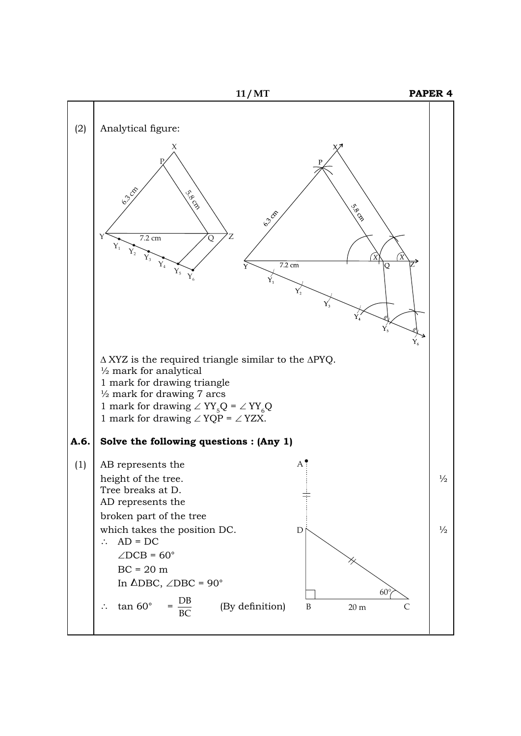![](_page_10_Figure_0.jpeg)